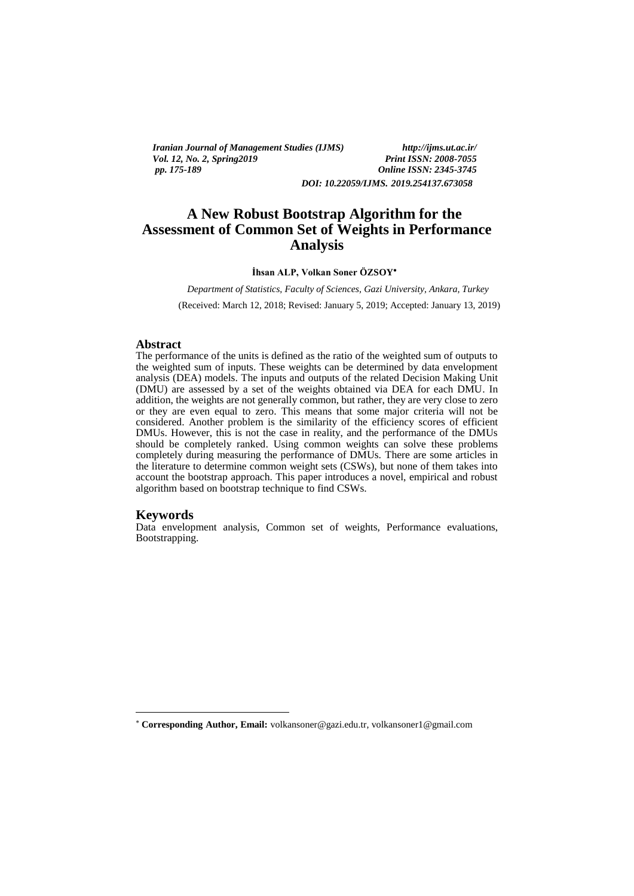*Iranian Journal of Management Studies (IJMS) http://ijms.ut.ac.ir/ Vol. 12, No. 2, Spring 2019*<br>pp. 175-189

*pp. 175-189 Online ISSN: 2345-3745 DOI: 10.22059/IJMS. 2019.254137.673058*

# **A New Robust Bootstrap Algorithm for the Assessment of Common Set of Weights in Performance Analysis**

#### **İhsan ALP, Volkan Soner ÖZSOY**

*Department of Statistics, Faculty of Sciences, Gazi University, Ankara, Turkey*

(Received: March 12, 2018; Revised: January 5, 2019; Accepted: January 13, 2019)

#### **Abstract**

The performance of the units is defined as the ratio of the weighted sum of outputs to the weighted sum of inputs. These weights can be determined by data envelopment analysis (DEA) models. The inputs and outputs of the related Decision Making Unit (DMU) are assessed by a set of the weights obtained via DEA for each DMU. In addition, the weights are not generally common, but rather, they are very close to zero or they are even equal to zero. This means that some major criteria will not be considered. Another problem is the similarity of the efficiency scores of efficient DMUs. However, this is not the case in reality, and the performance of the DMUs should be completely ranked. Using common weights can solve these problems completely during measuring the performance of DMUs. There are some articles in the literature to determine common weight sets (CSWs), but none of them takes into account the bootstrap approach. This paper introduces a novel, empirical and robust algorithm based on bootstrap technique to find CSWs.

#### **Keywords**

<u>.</u>

Data envelopment analysis, Common set of weights, Performance evaluations, Bootstrapping.

**Corresponding Author, Email:** volkansoner@gazi.edu.tr, volkansoner1@gmail.com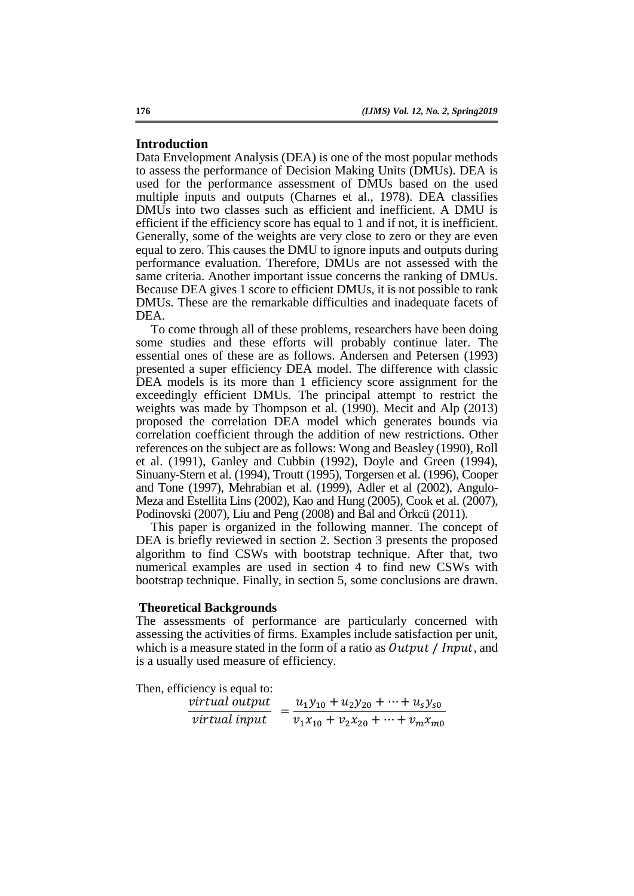#### **Introduction**

Data Envelopment Analysis (DEA) is one of the most popular methods to assess the performance of Decision Making Units (DMUs). DEA is used for the performance assessment of DMUs based on the used multiple inputs and outputs (Charnes et al., 1978). DEA classifies DMUs into two classes such as efficient and inefficient. A DMU is efficient if the efficiency score has equal to 1 and if not, it is inefficient. Generally, some of the weights are very close to zero or they are even equal to zero. This causes the DMU to ignore inputs and outputs during performance evaluation. Therefore, DMUs are not assessed with the same criteria. Another important issue concerns the ranking of DMUs. Because DEA gives 1 score to efficient DMUs, it is not possible to rank DMUs. These are the remarkable difficulties and inadequate facets of DEA.

To come through all of these problems, researchers have been doing some studies and these efforts will probably continue later. The essential ones of these are as follows. Andersen and Petersen (1993) presented a super efficiency DEA model. The difference with classic DEA models is its more than 1 efficiency score assignment for the exceedingly efficient DMUs. The principal attempt to restrict the weights was made by Thompson et al. (1990). Mecit and Alp (2013) proposed the correlation DEA model which generates bounds via correlation coefficient through the addition of new restrictions. Other references on the subject are as follows: Wong and Beasley (1990), Roll et al. (1991), Ganley and Cubbin (1992), Doyle and Green (1994), Sinuany-Stern et al. (1994), Troutt (1995), Torgersen et al. (1996), Cooper and Tone (1997), Mehrabian et al. (1999), Adler et al (2002), Angulo-Meza and Estellita Lins (2002), Kao and Hung (2005), Cook et al. (2007), Podinovski (2007), Liu and Peng (2008) and Bal and Örkcü (2011).

This paper is organized in the following manner. The concept of DEA is briefly reviewed in section 2. Section 3 presents the proposed algorithm to find CSWs with bootstrap technique. After that, two numerical examples are used in section 4 to find new CSWs with bootstrap technique. Finally, in section 5, some conclusions are drawn.

#### **Theoretical Backgrounds**

The assessments of performance are particularly concerned with assessing the activities of firms. Examples include satisfaction per unit, which is a measure stated in the form of a ratio as  $Output / Input$ , and is a usually used measure of efficiency.

Then, efficiency is equal to:

| virtual output       | $u_1y_{10} + u_2y_{20} + \cdots + u_sy_{s0}$ |
|----------------------|----------------------------------------------|
| <i>virtual</i> input | $v_1x_{10} + v_2x_{20} + \cdots + v_mx_{m0}$ |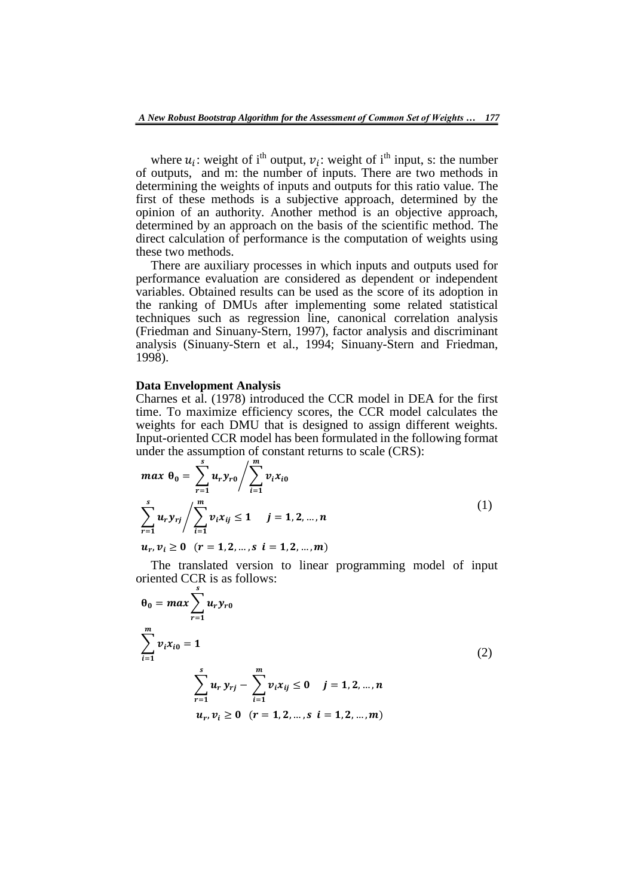where  $u_i$ : weight of i<sup>th</sup> output,  $v_i$ : weight of i<sup>th</sup> input, s: the number of outputs, and m: the number of inputs. There are two methods in determining the weights of inputs and outputs for this ratio value. The first of these methods is a subjective approach, determined by the opinion of an authority. Another method is an objective approach, determined by an approach on the basis of the scientific method. The direct calculation of performance is the computation of weights using these two methods.

There are auxiliary processes in which inputs and outputs used for performance evaluation are considered as dependent or independent variables. Obtained results can be used as the score of its adoption in the ranking of DMUs after implementing some related statistical techniques such as regression line, canonical correlation analysis (Friedman and Sinuany-Stern, 1997), factor analysis and discriminant analysis (Sinuany-Stern et al., 1994; Sinuany-Stern and Friedman, 1998).

## **Data Envelopment Analysis**

Charnes et al. (1978) introduced the CCR model in DEA for the first time. To maximize efficiency scores, the CCR model calculates the weights for each DMU that is designed to assign different weights. Input-oriented CCR model has been formulated in the following format under the assumption of constant returns to scale (CRS):

$$
\max \theta_0 = \sum_{r=1}^{s} u_r y_{r0} / \sum_{i=1}^{m} v_i x_{i0}
$$
\n
$$
\sum_{r=1}^{s} u_r y_{rj} / \sum_{i=1}^{m} v_i x_{ij} \le 1 \quad j = 1, 2, ..., n
$$
\n
$$
u_r, v_i \ge 0 \quad (r = 1, 2, ..., s \quad i = 1, 2, ..., m)
$$
\n(1)

The translated version to linear programming model of input oriented CCR is as follows:

$$
\theta_0 = max \sum_{r=1}^{s} u_r y_{r0}
$$
  

$$
\sum_{i=1}^{m} v_i x_{i0} = 1
$$
  

$$
\sum_{r=1}^{s} u_r y_{rj} - \sum_{i=1}^{m} v_i x_{ij} \le 0 \quad j = 1, 2, ..., n
$$
  

$$
u_r, v_i \ge 0 \quad (r = 1, 2, ..., s \quad i = 1, 2, ..., m)
$$
 (2)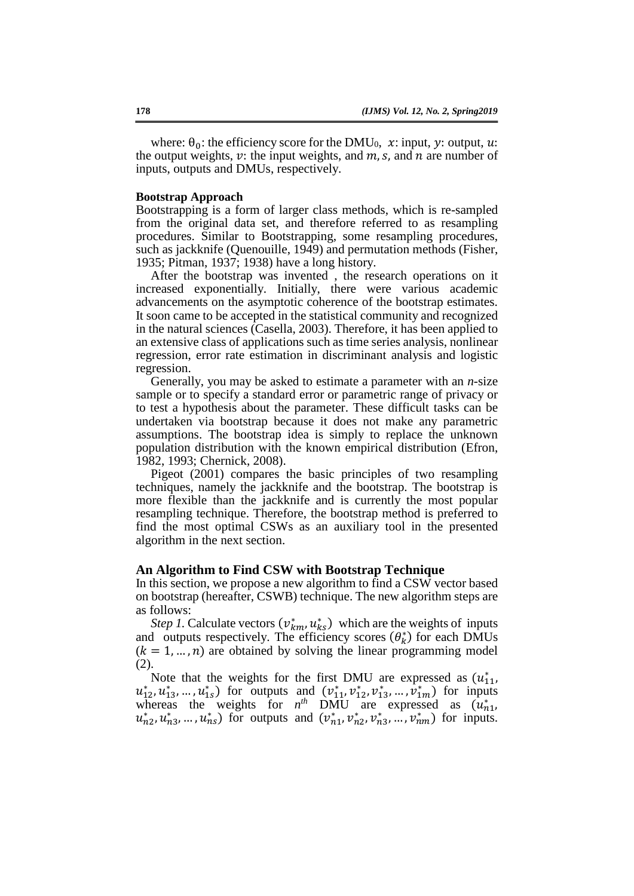where:  $\theta_0$ : the efficiency score for the DMU<sub>0</sub>, x: input, y: output, u: the output weights,  $v$ : the input weights, and  $m$ ,  $s$ , and  $n$  are number of inputs, outputs and DMUs, respectively.

#### **Bootstrap Approach**

Bootstrapping is a form of larger class methods, which is re-sampled from the original data set, and therefore referred to as resampling procedures. Similar to Bootstrapping, some resampling procedures, such as jackknife (Quenouille, 1949) and permutation methods (Fisher, 1935; Pitman, 1937; 1938) have a long history.

After the bootstrap was invented , the research operations on it increased exponentially. Initially, there were various academic advancements on the asymptotic coherence of the bootstrap estimates. It soon came to be accepted in the statistical community and recognized in the natural sciences (Casella, 2003). Therefore, it has been applied to an extensive class of applications such as time series analysis, nonlinear regression, error rate estimation in discriminant analysis and logistic regression.

Generally, you may be asked to estimate a parameter with an *n-*size sample or to specify a standard error or parametric range of privacy or to test a hypothesis about the parameter. These difficult tasks can be undertaken via bootstrap because it does not make any parametric assumptions. The bootstrap idea is simply to replace the unknown population distribution with the known empirical distribution (Efron, 1982, 1993; Chernick, 2008).

Pigeot (2001) compares the basic principles of two resampling techniques, namely the jackknife and the bootstrap. The bootstrap is more flexible than the jackknife and is currently the most popular resampling technique. Therefore, the bootstrap method is preferred to find the most optimal CSWs as an auxiliary tool in the presented algorithm in the next section.

#### **An Algorithm to Find CSW with Bootstrap Technique**

In this section, we propose a new algorithm to find a CSW vector based on bootstrap (hereafter, CSWB) technique. The new algorithm steps are as follows:

*Step 1*. Calculate vectors  $(v_{km}^*, u_{ks}^*)$  which are the weights of inputs and outputs respectively. The efficiency scores  $(\theta_k^*)$  for each DMUs  $(k = 1, ..., n)$  are obtained by solving the linear programming model (2).

Note that the weights for the first DMU are expressed as  $(u_{11}^*)$ ,  $u_{12}^*, u_{13}^*, \dots, u_{1s}^*$ ) for outputs and  $(v_{11}^*, v_{12}^*, v_{13}^*, \dots, v_{1m}^*)$  for inputs whereas the weights for  $n^{th}$  DMU are expressed as  $(u_{n1}^*)$  $u_{n2}^*, u_{n3}^*, \dots, u_{nS}^*$  for outputs and  $(v_{n1}^*, v_{n2}^*, v_{n3}^*, \dots, v_{nm}^*)$  for inputs.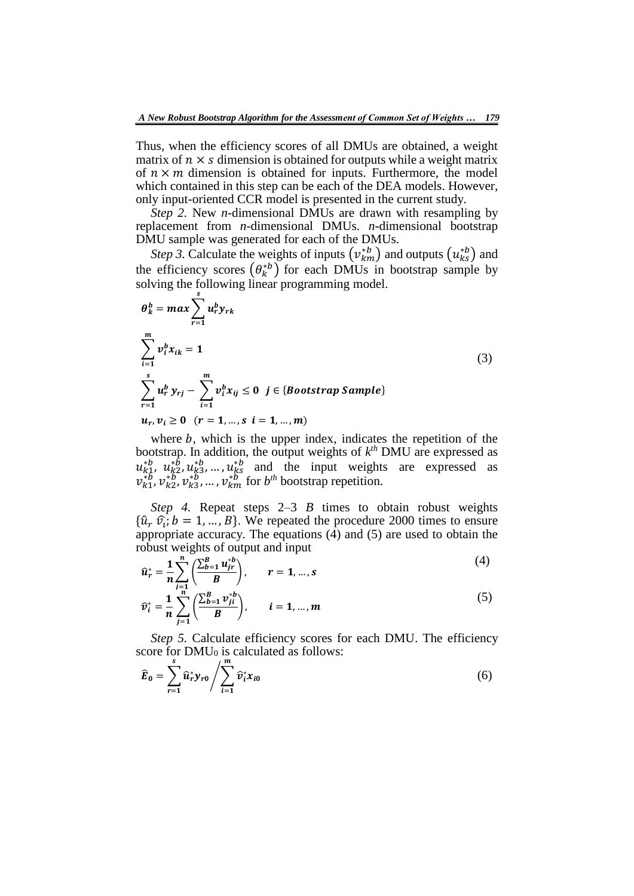Thus, when the efficiency scores of all DMUs are obtained, a weight matrix of  $n \times s$  dimension is obtained for outputs while a weight matrix of  $n \times m$  dimension is obtained for inputs. Furthermore, the model which contained in this step can be each of the DEA models. However, only input-oriented CCR model is presented in the current study.

*Step 2.* New *n-*dimensional DMUs are drawn with resampling by replacement from *n-*dimensional DMUs. *n-*dimensional bootstrap DMU sample was generated for each of the DMUs.

*Step 3*. Calculate the weights of inputs  $(v_{km}^{*b})$  and outputs  $(u_{ks}^{*b})$  and the efficiency scores  $(\theta_k^{*b})$  for each DMUs in bootstrap sample by solving the following linear programming model.

$$
\theta_{k}^{b} = \max \sum_{r=1}^{s} u_{r}^{b} y_{rk}
$$
\n
$$
\sum_{i=1}^{m} v_{i}^{b} x_{ik} = 1
$$
\n
$$
\sum_{r=1}^{s} u_{r}^{b} y_{rj} - \sum_{i=1}^{m} v_{i}^{b} x_{ij} \le 0 \quad j \in \{ \text{Boostrap Sample} \}
$$
\n
$$
u_{r}, v_{i} \ge 0 \quad (r = 1, ..., s \quad i = 1, ..., m)
$$
\n(3)

where  $b$ , which is the upper index, indicates the repetition of the bootstrap. In addition, the output weights of  $k^{th}$  DMU are expressed as  $u_{k_1}^{*b}, u_{k_2}^{*b}, u_{k_3}^{*b}, \dots, u_{k_s}^{*b}$  and the input weights are expressed as  $v_{k1}^{*b}, v_{k2}^{*b}, v_{k3}^{*b}, \dots, v_{km}^{*b}$  for  $b^{th}$  bootstrap repetition.

*Step 4.* Repeat steps 2–3 *B* times to obtain robust weights  $\{\hat{u}_r \hat{v}_i; b = 1, ..., B\}$ . We repeated the procedure 2000 times to ensure appropriate accuracy. The equations (4) and (5) are used to obtain the robust weights of output and input  $(4)$ 

$$
\hat{u}_r^* = \frac{1}{n} \sum_{j=1}^n \left( \frac{\sum_{b=1}^B u_{jr}^{*b}}{B} \right), \qquad r = 1, \dots, s
$$
 (4)

$$
\hat{v}_i^* = \frac{1}{n} \sum_{j=1}^{n} \left( \frac{\sum_{b=1}^B v_{ji}^{*b}}{B} \right), \qquad i = 1, ..., m
$$
 (5)

*Step 5.* Calculate efficiency scores for each DMU. The efficiency score for  $DMU_0$  is calculated as follows:

$$
\widehat{E}_0 = \sum_{r=1}^s \widehat{u}_r^* y_{r0} / \sum_{i=1}^m \widehat{v}_i^* x_{i0}
$$
\n
$$
\tag{6}
$$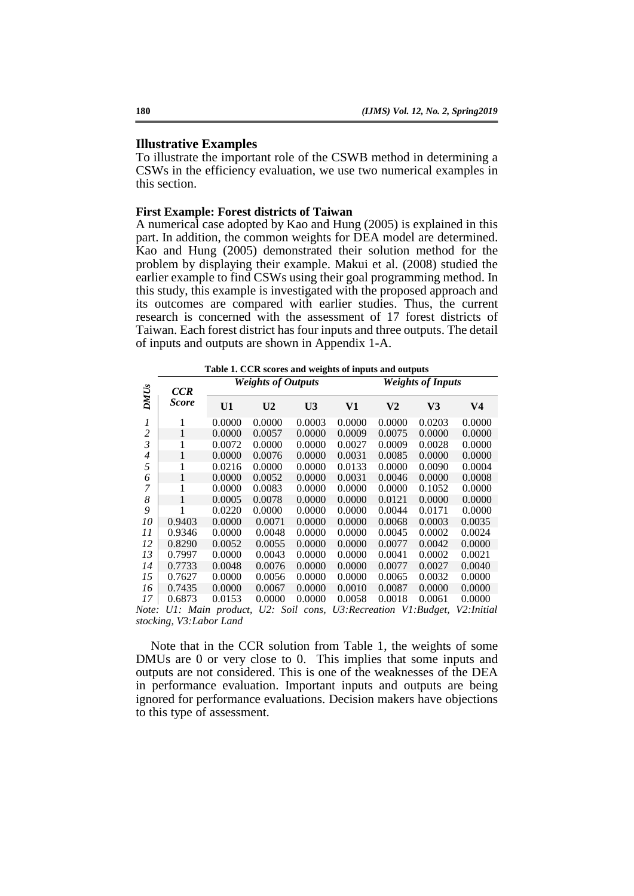## **Illustrative Examples**

To illustrate the important role of the CSWB method in determining a CSWs in the efficiency evaluation, we use two numerical examples in this section.

#### **First Example: Forest districts of Taiwan**

A numerical case adopted by Kao and Hung (2005) is explained in this part. In addition, the common weights for DEA model are determined. Kao and Hung (2005) demonstrated their solution method for the problem by displaying their example. Makui et al. (2008) studied the earlier example to find CSWs using their goal programming method. In this study, this example is investigated with the proposed approach and its outcomes are compared with earlier studies. Thus, the current research is concerned with the assessment of 17 forest districts of Taiwan. Each forest district has four inputs and three outputs. The detail of inputs and outputs are shown in Appendix 1-A.

**Table 1. CCR scores and weights of inputs and outputs**

|                                                                   | CCR                                                                  |                   | <b>Weights of Outputs</b> |                |        |                            | <b>Weights of Inputs</b> |            |
|-------------------------------------------------------------------|----------------------------------------------------------------------|-------------------|---------------------------|----------------|--------|----------------------------|--------------------------|------------|
| <b>DMU<sub>s</sub></b>                                            | <b>Score</b>                                                         | U1                | U <sub>2</sub>            | U <sub>3</sub> | V1     | V <sub>2</sub>             | V <sub>3</sub>           | V4         |
| 1                                                                 | 1                                                                    | 0.0000            | 0.0000                    | 0.0003         | 0.0000 | 0.0000                     | 0.0203                   | 0.0000     |
| $\overline{\mathbf{c}}$                                           | 1                                                                    | 0.0000            | 0.0057                    | 0.0000         | 0.0009 | 0.0075                     | 0.0000                   | 0.0000     |
| $\overline{3}$                                                    | 1                                                                    | 0.0072            | 0.0000                    | 0.0000         | 0.0027 | 0.0009                     | 0.0028                   | 0.0000     |
| $\overline{4}$                                                    | 1                                                                    | 0.0000            | 0.0076                    | 0.0000         | 0.0031 | 0.0085                     | 0.0000                   | 0.0000     |
| 5                                                                 | 1                                                                    | 0.0216            | 0.0000                    | 0.0000         | 0.0133 | 0.0000                     | 0.0090                   | 0.0004     |
| 6                                                                 | $\mathbf{1}$                                                         | 0.0000            | 0.0052                    | 0.0000         | 0.0031 | 0.0046                     | 0.0000                   | 0.0008     |
| 7                                                                 | 1                                                                    | 0.0000            | 0.0083                    | 0.0000         | 0.0000 | 0.0000                     | 0.1052                   | 0.0000     |
| 8                                                                 | 1                                                                    | 0.0005            | 0.0078                    | 0.0000         | 0.0000 | 0.0121                     | 0.0000                   | 0.0000     |
| 9                                                                 | 1                                                                    | 0.0220            | 0.0000                    | 0.0000         | 0.0000 | 0.0044                     | 0.0171                   | 0.0000     |
| 10                                                                | 0.9403                                                               | 0.0000            | 0.0071                    | 0.0000         | 0.0000 | 0.0068                     | 0.0003                   | 0.0035     |
| 11                                                                | 0.9346                                                               | 0.0000            | 0.0048                    | 0.0000         | 0.0000 | 0.0045                     | 0.0002                   | 0.0024     |
| 12                                                                | 0.8290                                                               | 0.0052            | 0.0055                    | 0.0000         | 0.0000 | 0.0077                     | 0.0042                   | 0.0000     |
| 13                                                                | 0.7997                                                               | 0.0000            | 0.0043                    | 0.0000         | 0.0000 | 0.0041                     | 0.0002                   | 0.0021     |
| 14                                                                | 0.7733                                                               | 0.0048            | 0.0076                    | 0.0000         | 0.0000 | 0.0077                     | 0.0027                   | 0.0040     |
| 15                                                                | 0.7627                                                               | 0.0000            | 0.0056                    | 0.0000         | 0.0000 | 0.0065                     | 0.0032                   | 0.0000     |
| 16                                                                | 0.7435                                                               | 0.0000            | 0.0067                    | 0.0000         | 0.0010 | 0.0087                     | 0.0000                   | 0.0000     |
| 17                                                                | 0.6873                                                               | 0.0153            | 0.0000                    | 0.0000         | 0.0058 | 0.0018                     | 0.0061                   | 0.0000     |
| Note:                                                             |                                                                      | U1: Main product, |                           | U2: Soil cons. |        | U3: Recreation V1: Budget, |                          | V2:Initial |
|                                                                   | stocking, V3: Labor Land                                             |                   |                           |                |        |                            |                          |            |
|                                                                   | Note that in the CCR solution from Table 1, the weights of some      |                   |                           |                |        |                            |                          |            |
|                                                                   |                                                                      |                   |                           |                |        |                            |                          |            |
|                                                                   | DMUs are 0 or very close to 0. This implies that some inputs and     |                   |                           |                |        |                            |                          |            |
|                                                                   | outputs are not considered. This is one of the weaknesses of the DEA |                   |                           |                |        |                            |                          |            |
| in performance evaluation. Important inputs and outputs are being |                                                                      |                   |                           |                |        |                            |                          |            |
|                                                                   | ignored for performance evaluations. Decision makers have objections |                   |                           |                |        |                            |                          |            |
|                                                                   | to this type of assessment.                                          |                   |                           |                |        |                            |                          |            |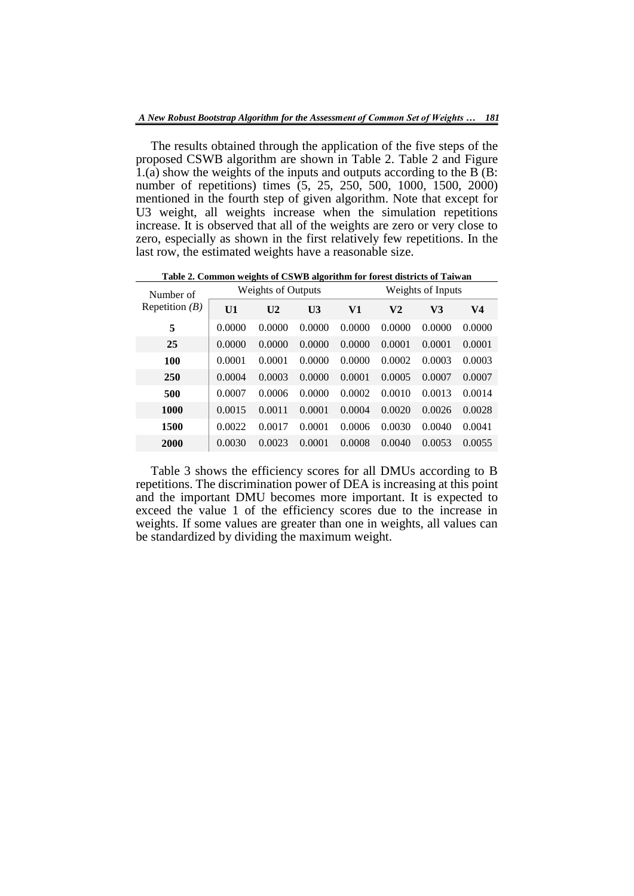The results obtained through the application of the five steps of the proposed CSWB algorithm are shown in Table 2. Table 2 and Figure  $1(a)$  show the weights of the inputs and outputs according to the B (B: number of repetitions) times (5, 25, 250, 500, 1000, 1500, 2000) mentioned in the fourth step of given algorithm. Note that except for U3 weight, all weights increase when the simulation repetitions increase. It is observed that all of the weights are zero or very close to zero, especially as shown in the first relatively few repetitions. In the last row, the estimated weights have a reasonable size.

**Table 2. Common weights of CSWB algorithm for forest districts of Taiwan**

| Number of        | <b>Weights of Outputs</b> |                |                |        | Weights of Inputs |        |                |  |  |
|------------------|---------------------------|----------------|----------------|--------|-------------------|--------|----------------|--|--|
| Repetition $(B)$ | U1                        | U <sub>2</sub> | U <sub>3</sub> | V1     | V2                | V3     | V <sub>4</sub> |  |  |
| 5                | 0.0000                    | 0.0000         | 0.0000         | 0.0000 | 0.0000            | 0.0000 | 0.0000         |  |  |
| 25               | 0.0000                    | 0.0000         | 0.0000         | 0.0000 | 0.0001            | 0.0001 | 0.0001         |  |  |
| 100              | 0.0001                    | 0.0001         | 0.0000         | 0.0000 | 0.0002            | 0.0003 | 0.0003         |  |  |
| 250              | 0.0004                    | 0.0003         | 0.0000         | 0.0001 | 0.0005            | 0.0007 | 0.0007         |  |  |
| 500              | 0.0007                    | 0.0006         | 0.0000         | 0.0002 | 0.0010            | 0.0013 | 0.0014         |  |  |
| 1000             | 0.0015                    | 0.0011         | 0.0001         | 0.0004 | 0.0020            | 0.0026 | 0.0028         |  |  |
| 1500             | 0.0022                    | 0.0017         | 0.0001         | 0.0006 | 0.0030            | 0.0040 | 0.0041         |  |  |
| 2000             | 0.0030                    | 0.0023         | 0.0001         | 0.0008 | 0.0040            | 0.0053 | 0.0055         |  |  |

Table 3 shows the efficiency scores for all DMUs according to B repetitions. The discrimination power of DEA is increasing at this point and the important DMU becomes more important. It is expected to exceed the value 1 of the efficiency scores due to the increase in weights. If some values are greater than one in weights, all values can be standardized by dividing the maximum weight.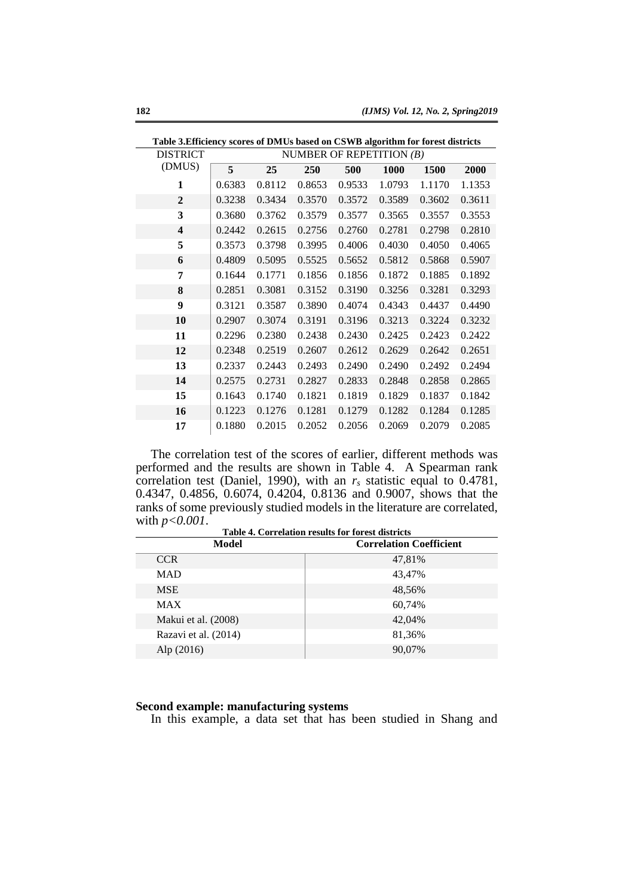| Table 3. Efficiency scores of DMUs based on CSWB algorithm for forest districts |        |        |        |                            |        |        |        |
|---------------------------------------------------------------------------------|--------|--------|--------|----------------------------|--------|--------|--------|
| <b>DISTRICT</b>                                                                 |        |        |        | NUMBER OF REPETITION $(B)$ |        |        |        |
| (DMUS)                                                                          | 5      | 25     | 250    | 500                        | 1000   | 1500   | 2000   |
| 1                                                                               | 0.6383 | 0.8112 | 0.8653 | 0.9533                     | 1.0793 | 1.1170 | 1.1353 |
| $\mathbf{2}$                                                                    | 0.3238 | 0.3434 | 0.3570 | 0.3572                     | 0.3589 | 0.3602 | 0.3611 |
| 3                                                                               | 0.3680 | 0.3762 | 0.3579 | 0.3577                     | 0.3565 | 0.3557 | 0.3553 |
| $\overline{\mathbf{4}}$                                                         | 0.2442 | 0.2615 | 0.2756 | 0.2760                     | 0.2781 | 0.2798 | 0.2810 |
| 5                                                                               | 0.3573 | 0.3798 | 0.3995 | 0.4006                     | 0.4030 | 0.4050 | 0.4065 |
| 6                                                                               | 0.4809 | 0.5095 | 0.5525 | 0.5652                     | 0.5812 | 0.5868 | 0.5907 |
| 7                                                                               | 0.1644 | 0.1771 | 0.1856 | 0.1856                     | 0.1872 | 0.1885 | 0.1892 |
| 8                                                                               | 0.2851 | 0.3081 | 0.3152 | 0.3190                     | 0.3256 | 0.3281 | 0.3293 |
| 9                                                                               | 0.3121 | 0.3587 | 0.3890 | 0.4074                     | 0.4343 | 0.4437 | 0.4490 |
| 10                                                                              | 0.2907 | 0.3074 | 0.3191 | 0.3196                     | 0.3213 | 0.3224 | 0.3232 |
| 11                                                                              | 0.2296 | 0.2380 | 0.2438 | 0.2430                     | 0.2425 | 0.2423 | 0.2422 |
| 12                                                                              | 0.2348 | 0.2519 | 0.2607 | 0.2612                     | 0.2629 | 0.2642 | 0.2651 |
| 13                                                                              | 0.2337 | 0.2443 | 0.2493 | 0.2490                     | 0.2490 | 0.2492 | 0.2494 |
| 14                                                                              | 0.2575 | 0.2731 | 0.2827 | 0.2833                     | 0.2848 | 0.2858 | 0.2865 |
| 15                                                                              | 0.1643 | 0.1740 | 0.1821 | 0.1819                     | 0.1829 | 0.1837 | 0.1842 |
| 16                                                                              | 0.1223 | 0.1276 | 0.1281 | 0.1279                     | 0.1282 | 0.1284 | 0.1285 |
| 17                                                                              | 0.1880 | 0.2015 | 0.2052 | 0.2056                     | 0.2069 | 0.2079 | 0.2085 |

The correlation test of the scores of earlier, different methods was performed and the results are shown in Table 4. A Spearman rank correlation test (Daniel, 1990), with an *r<sup>s</sup>* statistic equal to 0.4781, 0.4347, 0.4856, 0.6074, 0.4204, 0.8136 and 0.9007, shows that the ranks of some previously studied models in the literature are correlated, with *p<0.001*. **Table 4. Correlation results for forest districts**

| Table 4. Correlation results for forest districts |                                |  |  |  |  |  |
|---------------------------------------------------|--------------------------------|--|--|--|--|--|
| Model                                             | <b>Correlation Coefficient</b> |  |  |  |  |  |
| <b>CCR</b>                                        | 47,81%                         |  |  |  |  |  |
| <b>MAD</b>                                        | 43,47%                         |  |  |  |  |  |
| <b>MSE</b>                                        | 48,56%                         |  |  |  |  |  |
| <b>MAX</b>                                        | 60,74%                         |  |  |  |  |  |
| Makui et al. (2008)                               | 42.04%                         |  |  |  |  |  |
| Razavi et al. (2014)                              | 81,36%                         |  |  |  |  |  |
| Alp(2016)                                         | 90,07%                         |  |  |  |  |  |
|                                                   |                                |  |  |  |  |  |

# **Second example: manufacturing systems**

In this example, a data set that has been studied in Shang and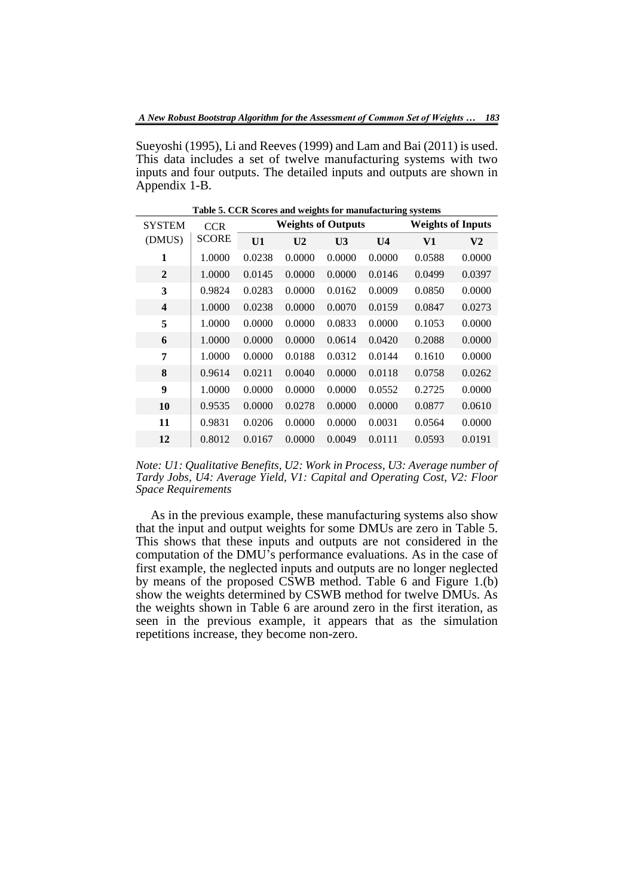Sueyoshi (1995), Li and Reeves (1999) and Lam and Bai (2011) is used. This data includes a set of twelve manufacturing systems with two inputs and four outputs. The detailed inputs and outputs are shown in Appendix 1-B.

| <b>SYSTEM</b>           | <b>CCR</b>   | <b>Weights of Outputs</b><br><b>Weights of Inputs</b> |                |                |                |        |                |
|-------------------------|--------------|-------------------------------------------------------|----------------|----------------|----------------|--------|----------------|
| (DMUS)                  | <b>SCORE</b> | U1                                                    | U <sub>2</sub> | U <sub>3</sub> | U <sub>4</sub> | V1     | V <sub>2</sub> |
| 1                       | 1.0000       | 0.0238                                                | 0.0000         | 0.0000         | 0.0000         | 0.0588 | 0.0000         |
| $\overline{2}$          | 1.0000       | 0.0145                                                | 0.0000         | 0.0000         | 0.0146         | 0.0499 | 0.0397         |
| 3                       | 0.9824       | 0.0283                                                | 0.0000         | 0.0162         | 0.0009         | 0.0850 | 0.0000         |
| $\overline{\mathbf{4}}$ | 1.0000       | 0.0238                                                | 0.0000         | 0.0070         | 0.0159         | 0.0847 | 0.0273         |
| 5                       | 1.0000       | 0.0000                                                | 0.0000         | 0.0833         | 0.0000         | 0.1053 | 0.0000         |
| 6                       | 1.0000       | 0.0000                                                | 0.0000         | 0.0614         | 0.0420         | 0.2088 | 0.0000         |
| 7                       | 1.0000       | 0.0000                                                | 0.0188         | 0.0312         | 0.0144         | 0.1610 | 0.0000         |
| 8                       | 0.9614       | 0.0211                                                | 0.0040         | 0.0000         | 0.0118         | 0.0758 | 0.0262         |
| 9                       | 1.0000       | 0.0000                                                | 0.0000         | 0.0000         | 0.0552         | 0.2725 | 0.0000         |
| 10                      | 0.9535       | 0.0000                                                | 0.0278         | 0.0000         | 0.0000         | 0.0877 | 0.0610         |
| 11                      | 0.9831       | 0.0206                                                | 0.0000         | 0.0000         | 0.0031         | 0.0564 | 0.0000         |
| 12                      | 0.8012       | 0.0167                                                | 0.0000         | 0.0049         | 0.0111         | 0.0593 | 0.0191         |

**Table 5. CCR Scores and weights for manufacturing systems**

*Note: U1: Qualitative Benefits, U2: Work in Process, U3: Average number of Tardy Jobs, U4: Average Yield, V1: Capital and Operating Cost, V2: Floor Space Requirements*

As in the previous example, these manufacturing systems also show that the input and output weights for some DMUs are zero in Table 5. This shows that these inputs and outputs are not considered in the computation of the DMU's performance evaluations. As in the case of first example, the neglected inputs and outputs are no longer neglected by means of the proposed CSWB method. Table 6 and Figure 1.(b) show the weights determined by CSWB method for twelve DMUs. As the weights shown in Table 6 are around zero in the first iteration, as seen in the previous example, it appears that as the simulation repetitions increase, they become non-zero.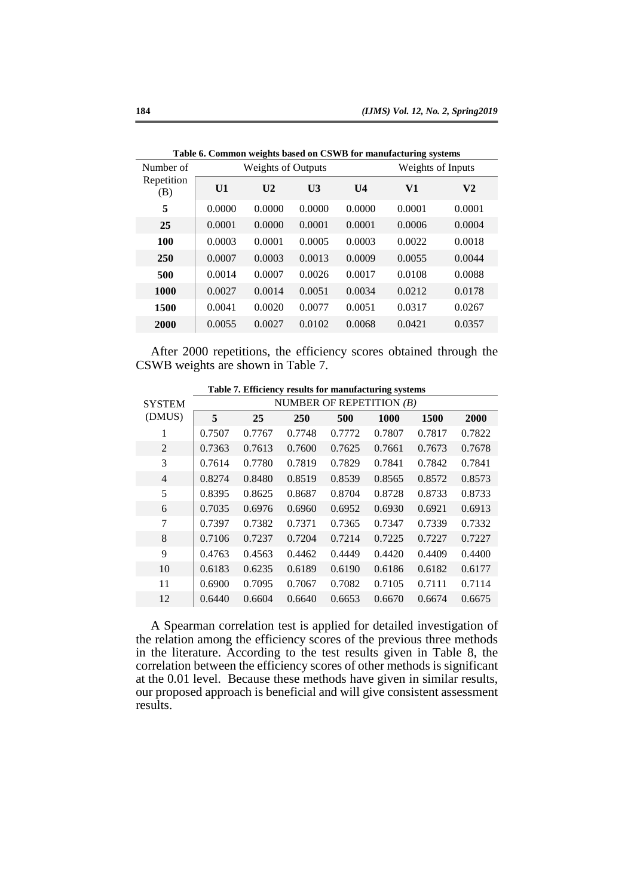|                   |        |                           |                   |                | Table 6. Common weights based on CSWD for manufacturing systems |                |
|-------------------|--------|---------------------------|-------------------|----------------|-----------------------------------------------------------------|----------------|
| Number of         |        | <b>Weights of Outputs</b> | Weights of Inputs |                |                                                                 |                |
| Repetition<br>(B) | U1     | U <sub>2</sub>            | U <sub>3</sub>    | U <sub>4</sub> | V1                                                              | V <sub>2</sub> |
| 5                 | 0.0000 | 0.0000                    | 0.0000            | 0.0000         | 0.0001                                                          | 0.0001         |
| 25                | 0.0001 | 0.0000                    | 0.0001            | 0.0001         | 0.0006                                                          | 0.0004         |
| 100               | 0.0003 | 0.0001                    | 0.0005            | 0.0003         | 0.0022                                                          | 0.0018         |
| 250               | 0.0007 | 0.0003                    | 0.0013            | 0.0009         | 0.0055                                                          | 0.0044         |
| 500               | 0.0014 | 0.0007                    | 0.0026            | 0.0017         | 0.0108                                                          | 0.0088         |
| 1000              | 0.0027 | 0.0014                    | 0.0051            | 0.0034         | 0.0212                                                          | 0.0178         |
| 1500              | 0.0041 | 0.0020                    | 0.0077            | 0.0051         | 0.0317                                                          | 0.0267         |
| 2000              | 0.0055 | 0.0027                    | 0.0102            | 0.0068         | 0.0421                                                          | 0.0357         |
|                   |        |                           |                   |                |                                                                 |                |

**Table 6. Common weights based on CSWB for manufacturing systems**

After 2000 repetitions, the efficiency scores obtained through the CSWB weights are shown in Table 7.

| <b>SYSTEM</b>  | NUMBER OF REPETITION $(B)$ |        |        |        |        |        |        |
|----------------|----------------------------|--------|--------|--------|--------|--------|--------|
| (DMUS)         | 5                          | 25     | 250    | 500    | 1000   | 1500   | 2000   |
| 1              | 0.7507                     | 0.7767 | 0.7748 | 0.7772 | 0.7807 | 0.7817 | 0.7822 |
| $\overline{2}$ | 0.7363                     | 0.7613 | 0.7600 | 0.7625 | 0.7661 | 0.7673 | 0.7678 |
| 3              | 0.7614                     | 0.7780 | 0.7819 | 0.7829 | 0.7841 | 0.7842 | 0.7841 |
| $\overline{4}$ | 0.8274                     | 0.8480 | 0.8519 | 0.8539 | 0.8565 | 0.8572 | 0.8573 |
| 5              | 0.8395                     | 0.8625 | 0.8687 | 0.8704 | 0.8728 | 0.8733 | 0.8733 |
| 6              | 0.7035                     | 0.6976 | 0.6960 | 0.6952 | 0.6930 | 0.6921 | 0.6913 |
| 7              | 0.7397                     | 0.7382 | 0.7371 | 0.7365 | 0.7347 | 0.7339 | 0.7332 |
| 8              | 0.7106                     | 0.7237 | 0.7204 | 0.7214 | 0.7225 | 0.7227 | 0.7227 |
| 9              | 0.4763                     | 0.4563 | 0.4462 | 0.4449 | 0.4420 | 0.4409 | 0.4400 |
| 10             | 0.6183                     | 0.6235 | 0.6189 | 0.6190 | 0.6186 | 0.6182 | 0.6177 |
| 11             | 0.6900                     | 0.7095 | 0.7067 | 0.7082 | 0.7105 | 0.7111 | 0.7114 |
| 12             | 0.6440                     | 0.6604 | 0.6640 | 0.6653 | 0.6670 | 0.6674 | 0.6675 |

**Table 7. Efficiency results for manufacturing systems**

A Spearman correlation test is applied for detailed investigation of the relation among the efficiency scores of the previous three methods in the literature. According to the test results given in Table 8, the correlation between the efficiency scores of other methods is significant at the 0.01 level. Because these methods have given in similar results, our proposed approach is beneficial and will give consistent assessment results.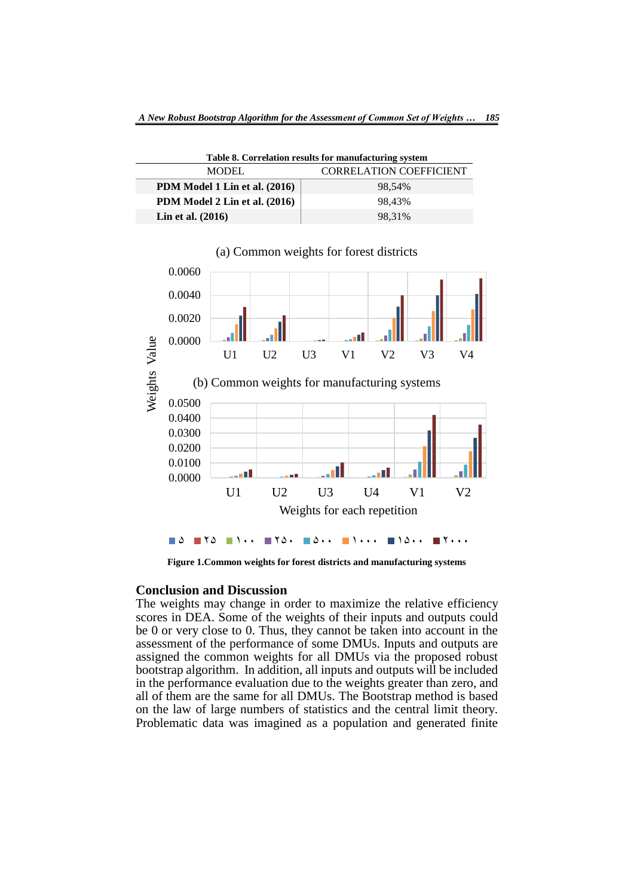| Table 8. Correlation results for manufacturing system |                                |  |  |  |  |  |  |
|-------------------------------------------------------|--------------------------------|--|--|--|--|--|--|
| <b>MODEL</b>                                          | <b>CORRELATION COEFFICIENT</b> |  |  |  |  |  |  |
| PDM Model 1 Lin et al. (2016)                         | 98.54%                         |  |  |  |  |  |  |
| PDM Model 2 Lin et al. (2016)                         | 98.43%                         |  |  |  |  |  |  |
| Lin et al. $(2016)$                                   | 98.31%                         |  |  |  |  |  |  |



### (a) Common weights for forest districts

**Figure 1.Common weights for forest districts and manufacturing systems**

### **Conclusion and Discussion**

Ī

The weights may change in order to maximize the relative efficiency scores in DEA. Some of the weights of their inputs and outputs could be 0 or very close to 0. Thus, they cannot be taken into account in the assessment of the performance of some DMUs. Inputs and outputs are assigned the common weights for all DMUs via the proposed robust bootstrap algorithm. In addition, all inputs and outputs will be included in the performance evaluation due to the weights greater than zero, and all of them are the same for all DMUs. The Bootstrap method is based on the law of large numbers of statistics and the central limit theory. Problematic data was imagined as a population and generated finite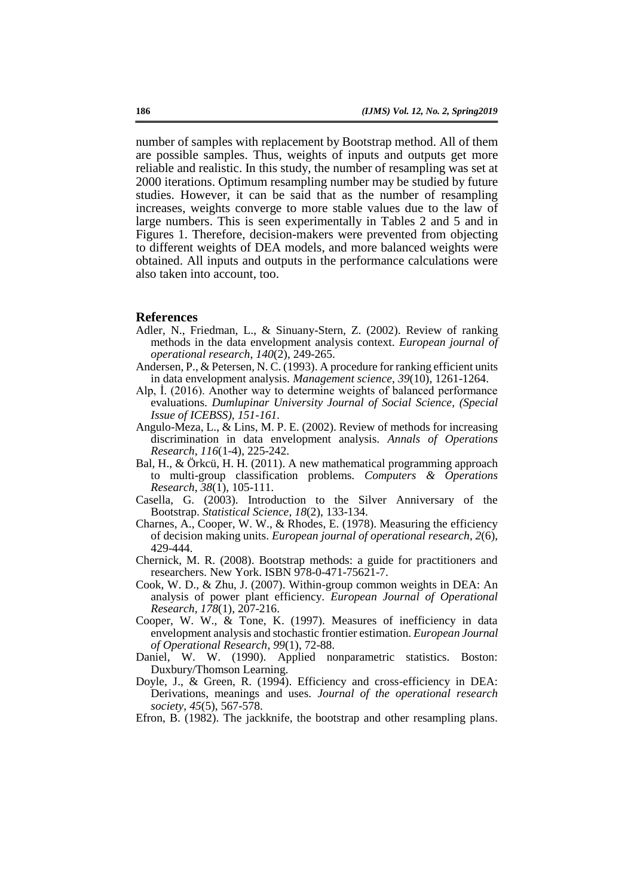number of samples with replacement by Bootstrap method. All of them are possible samples. Thus, weights of inputs and outputs get more reliable and realistic. In this study, the number of resampling was set at 2000 iterations. Optimum resampling number may be studied by future studies. However, it can be said that as the number of resampling increases, weights converge to more stable values due to the law of large numbers. This is seen experimentally in Tables 2 and 5 and in Figures 1. Therefore, decision-makers were prevented from objecting to different weights of DEA models, and more balanced weights were obtained. All inputs and outputs in the performance calculations were also taken into account, too.

#### **References**

- Adler, N., Friedman, L., & Sinuany-Stern, Z. (2002). Review of ranking methods in the data envelopment analysis context. *European journal of operational research*, *140*(2), 249-265.
- Andersen, P., & Petersen, N. C. (1993). A procedure for ranking efficient units in data envelopment analysis. *Management science*, *39*(10), 1261-1264.
- Alp, İ. (2016). Another way to determine weights of balanced performance evaluations. *Dumlupinar University Journal of Social Science, (Special Issue of ICEBSS), 151-161.*
- Angulo-Meza, L., & Lins, M. P. E. (2002). Review of methods for increasing discrimination in data envelopment analysis. *Annals of Operations Research*, *116*(1-4), 225-242.
- Bal, H., & Örkcü, H. H. (2011). A new mathematical programming approach to multi-group classification problems. *Computers & Operations Research*, *38*(1), 105-111.
- Casella, G. (2003). Introduction to the Silver Anniversary of the Bootstrap. *Statistical Science*, *18*(2), 133-134.
- Charnes, A., Cooper, W. W., & Rhodes, E. (1978). Measuring the efficiency of decision making units. *European journal of operational research*, *2*(6), 429-444.
- Chernick, M. R. (2008). Bootstrap methods: a guide for practitioners and researchers. New York. ISBN 978-0-471-75621-7.
- Cook, W. D., & Zhu, J. (2007). Within-group common weights in DEA: An analysis of power plant efficiency. *European Journal of Operational Research*, *178*(1), 207-216.
- Cooper, W. W., & Tone, K. (1997). Measures of inefficiency in data envelopment analysis and stochastic frontier estimation. *European Journal of Operational Research*, *99*(1), 72-88.
- Daniel, W. W. (1990). Applied nonparametric statistics. Boston: Duxbury/Thomson Learning.
- Doyle, J., & Green, R. (1994). Efficiency and cross-efficiency in DEA: Derivations, meanings and uses. *Journal of the operational research society*, *45*(5), 567-578.
- Efron, B. (1982). The jackknife, the bootstrap and other resampling plans.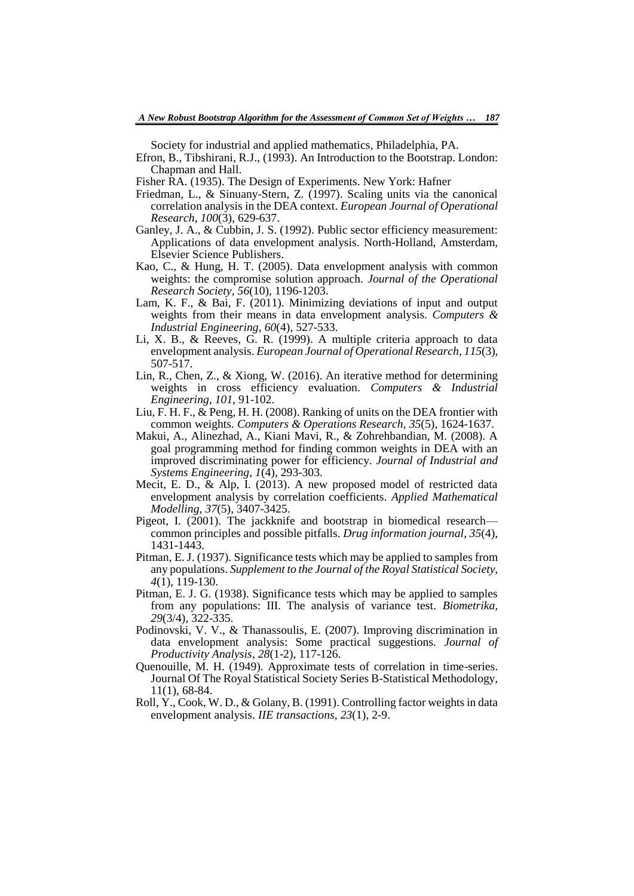Society for industrial and applied mathematics, Philadelphia, PA.

- Efron, B., Tibshirani, R.J., (1993). An Introduction to the Bootstrap. London: Chapman and Hall.
- Fisher RA. (1935). The Design of Experiments. New York: Hafner
- Friedman, L., & Sinuany-Stern, Z. (1997). Scaling units via the canonical correlation analysis in the DEA context. *European Journal of Operational Research*, *100*(3), 629-637.
- Ganley, J. A., & Cubbin, J. S. (1992). Public sector efficiency measurement: Applications of data envelopment analysis. North-Holland, Amsterdam, Elsevier Science Publishers.
- Kao, C., & Hung, H. T. (2005). Data envelopment analysis with common weights: the compromise solution approach. *Journal of the Operational Research Society*, *56*(10), 1196-1203.
- Lam, K. F., & Bai, F. (2011). Minimizing deviations of input and output weights from their means in data envelopment analysis. *Computers & Industrial Engineering*, *60*(4), 527-533.
- Li, X. B., & Reeves, G. R. (1999). A multiple criteria approach to data envelopment analysis. *European Journal of Operational Research*, *115*(3), 507-517.
- Lin, R., Chen, Z., & Xiong, W. (2016). An iterative method for determining weights in cross efficiency evaluation. *Computers & Industrial Engineering*, *101*, 91-102.
- Liu, F. H. F., & Peng, H. H. (2008). Ranking of units on the DEA frontier with common weights. *Computers & Operations Research*, *35*(5), 1624-1637.
- Makui, A., Alinezhad, A., Kiani Mavi, R., & Zohrehbandian, M. (2008). A goal programming method for finding common weights in DEA with an improved discriminating power for efficiency. *Journal of Industrial and Systems Engineering*, *1*(4), 293-303.
- Mecit, E. D., & Alp, I. (2013). A new proposed model of restricted data envelopment analysis by correlation coefficients. *Applied Mathematical Modelling*, *37*(5), 3407-3425.
- Pigeot, I. (2001). The jackknife and bootstrap in biomedical research common principles and possible pitfalls. *Drug information journal*, *35*(4), 1431-1443.
- Pitman, E. J. (1937). Significance tests which may be applied to samples from any populations. *Supplement to the Journal of the Royal Statistical Society, 4*(1), 119-130.
- Pitman, E. J. G. (1938). Significance tests which may be applied to samples from any populations: III. The analysis of variance test. *Biometrika, 29*(3/4), 322-335.
- Podinovski, V. V., & Thanassoulis, E. (2007). Improving discrimination in data envelopment analysis: Some practical suggestions. *Journal of Productivity Analysis*, *28*(1-2), 117-126.
- Quenouille, M. H. (1949). Approximate tests of correlation in time-series. Journal Of The Royal Statistical Society Series B-Statistical Methodology, 11(1), 68-84.
- Roll, Y., Cook, W. D., & Golany, B. (1991). Controlling factor weights in data envelopment analysis. *IIE transactions*, *23*(1), 2-9.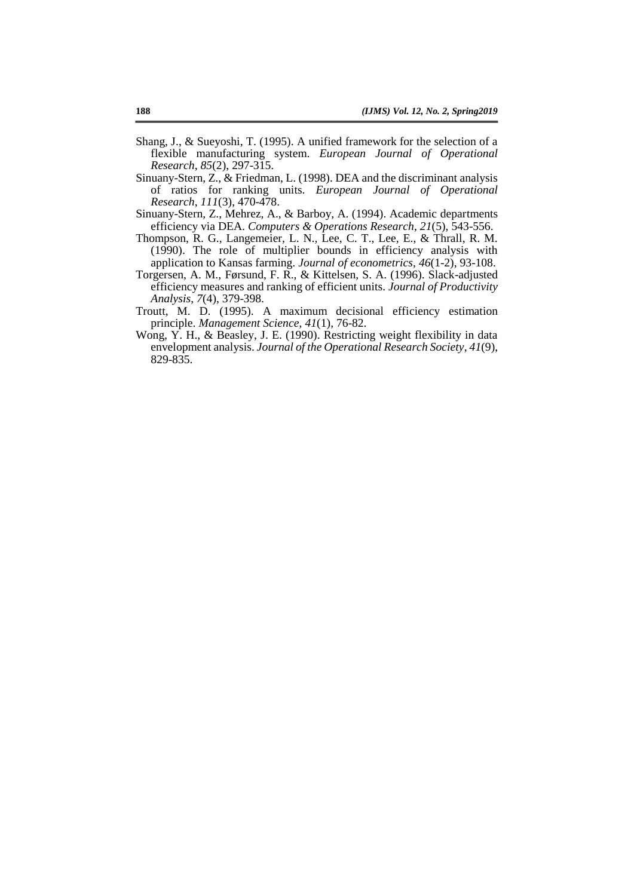- Shang, J., & Sueyoshi, T. (1995). A unified framework for the selection of a flexible manufacturing system. *European Journal of Operational Research*, *85*(2), 297-315.
- Sinuany-Stern, Z., & Friedman, L. (1998). DEA and the discriminant analysis of ratios for ranking units. *European Journal of Operational Research*, *111*(3), 470-478.
- Sinuany-Stern, Z., Mehrez, A., & Barboy, A. (1994). Academic departments efficiency via DEA. *Computers & Operations Research*, *21*(5), 543-556.
- Thompson, R. G., Langemeier, L. N., Lee, C. T., Lee, E., & Thrall, R. M. (1990). The role of multiplier bounds in efficiency analysis with application to Kansas farming. *Journal of econometrics*, *46*(1-2), 93-108.
- Torgersen, A. M., Førsund, F. R., & Kittelsen, S. A. (1996). Slack-adjusted efficiency measures and ranking of efficient units. *Journal of Productivity Analysis*, *7*(4), 379-398.
- Troutt, M. D. (1995). A maximum decisional efficiency estimation principle. *Management Science*, *41*(1), 76-82.
- Wong, Y. H., & Beasley, J. E. (1990). Restricting weight flexibility in data envelopment analysis. *Journal of the Operational Research Society*, *41*(9), 829-835.